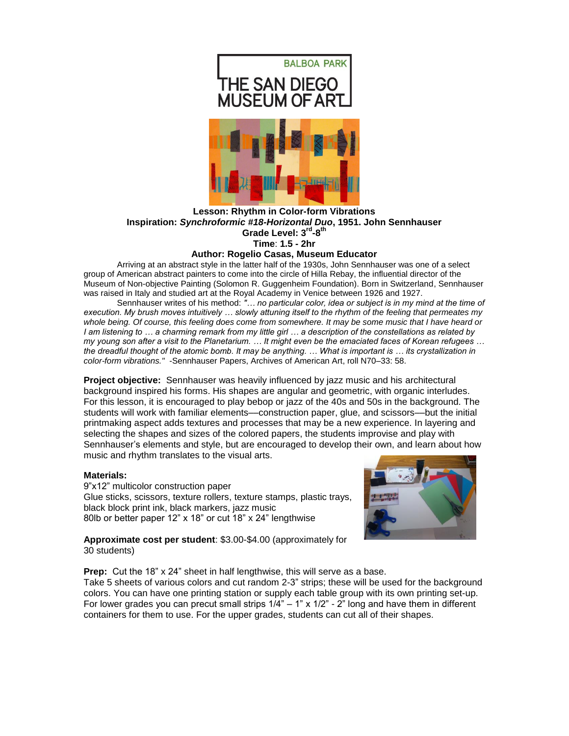

# **Lesson: Rhythm in Color-form Vibrations Inspiration:** *Synchroformic #18-Horizontal Duo***, 1951. John Sennhauser** Grade Level: 3<sup>rd</sup>-8<sup>th</sup> **Time**: **1.5 - 2hr**

## **Author: Rogelio Casas, Museum Educator**

Arriving at an abstract style in the latter half of the 1930s, John Sennhauser was one of a select group of American abstract painters to come into the circle of Hilla Rebay, the influential director of the Museum of Non-objective Painting (Solomon R. Guggenheim Foundation). Born in Switzerland, Sennhauser was raised in Italy and studied art at the Royal Academy in Venice between 1926 and 1927.

Sennhauser writes of his method: *"… no particular color, idea or subject is in my mind at the time of execution. My brush moves intuitively … slowly attuning itself to the rhythm of the feeling that permeates my whole being. Of course, this feeling does come from somewhere. It may be some music that I have heard or I am listening to … a charming remark from my little girl … a description of the constellations as related by my young son after a visit to the Planetarium. … It might even be the emaciated faces of Korean refugees … the dreadful thought of the atomic bomb. It may be anything. … What is important is … its crystallization in color-form vibrations."* -Sennhauser Papers, Archives of American Art, roll N70–33: 58.

**Project objective:** Sennhauser was heavily influenced by jazz music and his architectural background inspired his forms. His shapes are angular and geometric, with organic interludes. For this lesson, it is encouraged to play bebop or jazz of the 40s and 50s in the background. The students will work with familiar elements—construction paper, glue, and scissors—but the initial printmaking aspect adds textures and processes that may be a new experience. In layering and selecting the shapes and sizes of the colored papers, the students improvise and play with Sennhauser's elements and style, but are encouraged to develop their own, and learn about how music and rhythm translates to the visual arts.

#### **Materials:**

9"x12" multicolor construction paper Glue sticks, scissors, texture rollers, texture stamps, plastic trays, black block print ink, black markers, jazz music 80lb or better paper 12" x 18" or cut 18" x 24" lengthwise



**Approximate cost per student**: \$3.00-\$4.00 (approximately for 30 students)

**Prep:** Cut the 18" x 24" sheet in half lengthwise, this will serve as a base. Take 5 sheets of various colors and cut random 2-3" strips; these will be used for the background colors. You can have one printing station or supply each table group with its own printing set-up. For lower grades you can precut small strips  $1/4" - 1"$  x  $1/2" - 2"$  long and have them in different containers for them to use. For the upper grades, students can cut all of their shapes.